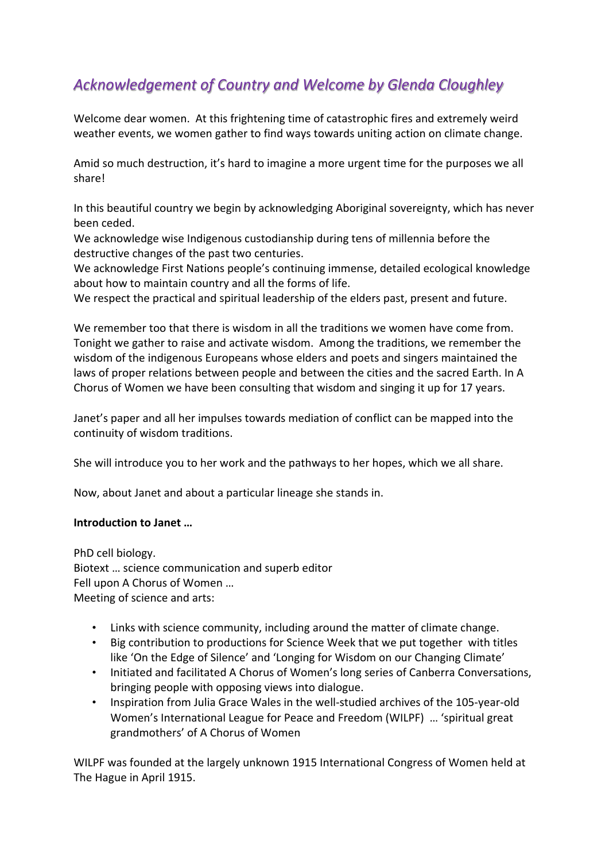# *Acknowledgement of Country and Welcome by Glenda Cloughley*

Welcome dear women. At this frightening time of catastrophic fires and extremely weird weather events, we women gather to find ways towards uniting action on climate change.

Amid so much destruction, it's hard to imagine a more urgent time for the purposes we all share!

In this beautiful country we begin by acknowledging Aboriginal sovereignty, which has never been ceded.

We acknowledge wise Indigenous custodianship during tens of millennia before the destructive changes of the past two centuries.

We acknowledge First Nations people's continuing immense, detailed ecological knowledge about how to maintain country and all the forms of life.

We respect the practical and spiritual leadership of the elders past, present and future.

We remember too that there is wisdom in all the traditions we women have come from. Tonight we gather to raise and activate wisdom. Among the traditions, we remember the wisdom of the indigenous Europeans whose elders and poets and singers maintained the laws of proper relations between people and between the cities and the sacred Earth. In A Chorus of Women we have been consulting that wisdom and singing it up for 17 years.

Janet's paper and all her impulses towards mediation of conflict can be mapped into the continuity of wisdom traditions.

She will introduce you to her work and the pathways to her hopes, which we all share.

Now, about Janet and about a particular lineage she stands in.

# **Introduction to Janet …**

PhD cell biology. Biotext … science communication and superb editor Fell upon A Chorus of Women … Meeting of science and arts:

- Links with science community, including around the matter of climate change.
- Big contribution to productions for Science Week that we put together with titles like 'On the Edge of Silence' and 'Longing for Wisdom on our Changing Climate'
- Initiated and facilitated A Chorus of Women's long series of Canberra Conversations, bringing people with opposing views into dialogue.
- Inspiration from Julia Grace Wales in the well-studied archives of the 105-year-old Women's International League for Peace and Freedom (WILPF) … 'spiritual great grandmothers' of A Chorus of Women

WILPF was founded at the largely unknown 1915 International Congress of Women held at The Hague in April 1915.